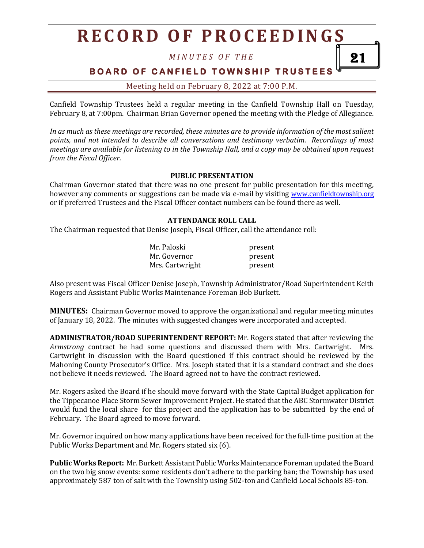*M I N U T E S O F T H E*

21

## **BOARD OF CANFIELD TOWNSHIP TRUSTEES**

Meeting held on February 8, 2022 at 7:00 P.M.

Canfield Township Trustees held a regular meeting in the Canfield Township Hall on Tuesday, February 8, at 7:00pm. Chairman Brian Governor opened the meeting with the Pledge of Allegiance.

*In as much as these meetings are recorded, these minutes are to provide information of the most salient points, and not intended to describe all conversations and testimony verbatim. Recordings of most meetings are available for listening to in the Township Hall, and a copy may be obtained upon request from the Fiscal Officer.*

#### **PUBLIC PRESENTATION**

Chairman Governor stated that there was no one present for public presentation for this meeting, however any comments or suggestions can be made via e-mail by visiting [www.canfieldtownship.org](http://www.canfieldtownship.org/) or if preferred Trustees and the Fiscal Officer contact numbers can be found there as well.

#### **ATTENDANCE ROLL CALL**

The Chairman requested that Denise Joseph, Fiscal Officer, call the attendance roll:

| Mr. Paloski     | present |
|-----------------|---------|
| Mr. Governor    | present |
| Mrs. Cartwright | present |

Also present was Fiscal Officer Denise Joseph, Township Administrator/Road Superintendent Keith Rogers and Assistant Public Works Maintenance Foreman Bob Burkett.

**MINUTES:** Chairman Governor moved to approve the organizational and regular meeting minutes of January 18, 2022. The minutes with suggested changes were incorporated and accepted.

**ADMINISTRATOR/ROAD SUPERINTENDENT REPORT:** Mr. Rogers stated that after reviewing the *Armstrong* contract he had some questions and discussed them with Mrs. Cartwright. Mrs. Cartwright in discussion with the Board questioned if this contract should be reviewed by the Mahoning County Prosecutor's Office. Mrs. Joseph stated that it is a standard contract and she does not believe it needs reviewed. The Board agreed not to have the contract reviewed.

Mr. Rogers asked the Board if he should move forward with the State Capital Budget application for the Tippecanoe Place Storm Sewer Improvement Project. He stated that the ABC Stormwater District would fund the local share for this project and the application has to be submitted by the end of February. The Board agreed to move forward.

Mr. Governor inquired on how many applications have been received for the full-time position at the Public Works Department and Mr. Rogers stated six (6).

**Public Works Report:** Mr. Burkett Assistant Public Works Maintenance Foreman updated the Board on the two big snow events: some residents don't adhere to the parking ban; the Township has used approximately 587 ton of salt with the Township using 502-ton and Canfield Local Schools 85-ton.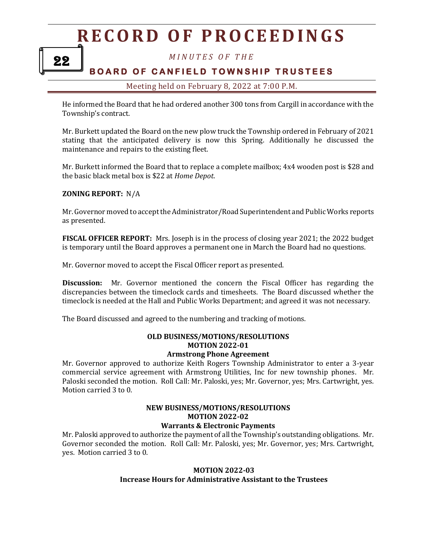*M I N U T E S O F T H E*

## **BOARD OF CANFIELD TOWNSHIP TRUSTEES**

#### Meeting held on February 8, 2022 at 7:00 P.M.

He informed the Board that he had ordered another 300 tons from Cargill in accordance with the Township's contract.

Mr. Burkett updated the Board on the new plow truck the Township ordered in February of 2021 stating that the anticipated delivery is now this Spring. Additionally he discussed the maintenance and repairs to the existing fleet.

Mr. Burkett informed the Board that to replace a complete mailbox; 4x4 wooden post is \$28 and the basic black metal box is \$22 at *Home Depot*.

#### **ZONING REPORT:** N/A

Mr. Governor moved to accept the Administrator/Road Superintendent and Public Works reports as presented.

**FISCAL OFFICER REPORT:** Mrs. Joseph is in the process of closing year 2021; the 2022 budget is temporary until the Board approves a permanent one in March the Board had no questions.

Mr. Governor moved to accept the Fiscal Officer report as presented.

**Discussion:** Mr. Governor mentioned the concern the Fiscal Officer has regarding the discrepancies between the timeclock cards and timesheets. The Board discussed whether the timeclock is needed at the Hall and Public Works Department; and agreed it was not necessary.

The Board discussed and agreed to the numbering and tracking of motions.

### **OLD BUSINESS/MOTIONS/RESOLUTIONS MOTION 2022-01**

#### **Armstrong Phone Agreement**

Mr. Governor approved to authorize Keith Rogers Township Administrator to enter a 3-year commercial service agreement with Armstrong Utilities, Inc for new township phones. Mr. Paloski seconded the motion. Roll Call: Mr. Paloski, yes; Mr. Governor, yes; Mrs. Cartwright, yes. Motion carried 3 to 0.

#### **NEW BUSINESS/MOTIONS/RESOLUTIONS MOTION 2022-02 Warrants & Electronic Payments**

Mr. Paloski approved to authorize the payment of all the Township's outstanding obligations. Mr. Governor seconded the motion. Roll Call: Mr. Paloski, yes; Mr. Governor, yes; Mrs. Cartwright, yes. Motion carried 3 to 0.

#### **MOTION 2022-03 Increase Hours for Administrative Assistant to the Trustees**

22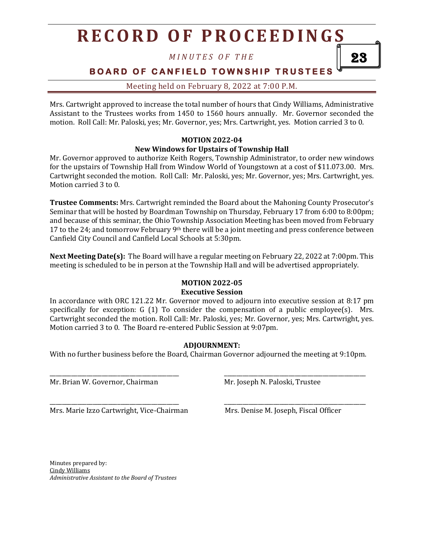*M I N U T E S O F T H E*

**BOARD OF CANFIELD TOWNSHIP TRUSTEES** 

23

Meeting held on February 8, 2022 at 7:00 P.M.

Mrs. Cartwright approved to increase the total number of hours that Cindy Williams, Administrative Assistant to the Trustees works from 1450 to 1560 hours annually. Mr. Governor seconded the motion. Roll Call: Mr. Paloski, yes; Mr. Governor, yes; Mrs. Cartwright, yes. Motion carried 3 to 0.

#### **MOTION 2022-04 New Windows for Upstairs of Township Hall**

Mr. Governor approved to authorize Keith Rogers, Township Administrator, to order new windows for the upstairs of Township Hall from Window World of Youngstown at a cost of \$11.073.00. Mrs. Cartwright seconded the motion. Roll Call: Mr. Paloski, yes; Mr. Governor, yes; Mrs. Cartwright, yes. Motion carried 3 to 0.

**Trustee Comments:** Mrs. Cartwright reminded the Board about the Mahoning County Prosecutor's Seminar that will be hosted by Boardman Township on Thursday, February 17 from 6:00 to 8:00pm; and because of this seminar, the Ohio Township Association Meeting has been moved from February 17 to the 24; and tomorrow February 9<sup>th</sup> there will be a joint meeting and press conference between Canfield City Council and Canfield Local Schools at 5:30pm.

**Next Meeting Date(s):** The Board will have a regular meeting on February 22, 2022 at 7:00pm. This meeting is scheduled to be in person at the Township Hall and will be advertised appropriately.

### **MOTION 2022-05**

#### **Executive Session**

In accordance with ORC 121.22 Mr. Governor moved to adjourn into executive session at 8:17 pm specifically for exception:  $G(1)$  To consider the compensation of a public employee(s). Mrs. Cartwright seconded the motion. Roll Call: Mr. Paloski, yes; Mr. Governor, yes; Mrs. Cartwright, yes. Motion carried 3 to 0. The Board re-entered Public Session at 9:07pm.

### **ADJOURNMENT:**

With no further business before the Board, Chairman Governor adjourned the meeting at 9:10pm.

\_\_\_\_\_\_\_\_\_\_\_\_\_\_\_\_\_\_\_\_\_\_\_\_\_\_\_\_\_\_\_\_\_\_\_\_\_\_\_\_\_\_ \_\_\_\_\_\_\_\_\_\_\_\_\_\_\_\_\_\_\_\_\_\_\_\_\_\_\_\_\_\_\_\_\_\_\_\_\_\_\_\_\_\_\_\_\_\_

\_\_\_\_\_\_\_\_\_\_\_\_\_\_\_\_\_\_\_\_\_\_\_\_\_\_\_\_\_\_\_\_\_\_\_\_\_\_\_\_\_\_ \_\_\_\_\_\_\_\_\_\_\_\_\_\_\_\_\_\_\_\_\_\_\_\_\_\_\_\_\_\_\_\_\_\_\_\_\_\_\_\_\_\_\_\_\_\_

Mr. Brian W. Governor, Chairman Mr. Joseph N. Paloski, Trustee

Mrs. Marie Izzo Cartwright, Vice-Chairman Mrs. Denise M. Joseph, Fiscal Officer

Minutes prepared by: Cindy Williams *Administrative Assistant to the Board of Trustees*